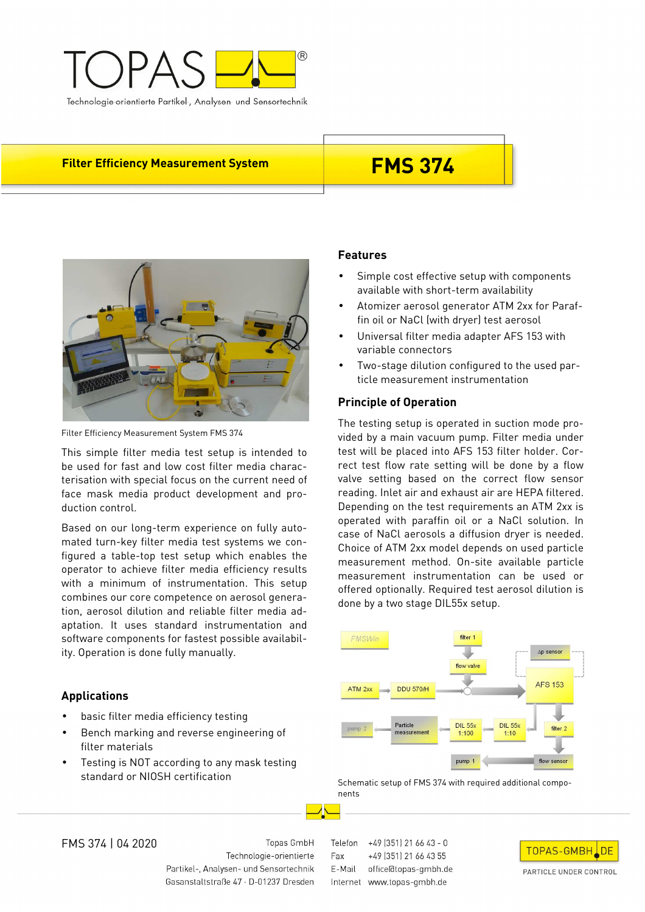

# **Filter Efficiency Measurement System FMS 374**



Filter Efficiency Measurement System FMS 374

This simple filter media test setup is intended to be used for fast and low cost filter media characterisation with special focus on the current need of face mask media product development and production control.

Based on our long-term experience on fully automated turn-key filter media test systems we configured a table-top test setup which enables the operator to achieve filter media efficiency results with a minimum of instrumentation. This setup combines our core competence on aerosol generation, aerosol dilution and reliable filter media adaptation. It uses standard instrumentation and software components for fastest possible availability. Operation is done fully manually.

## **Applications**

- basic filter media efficiency testing
- Bench marking and reverse engineering of filter materials
- Testing is NOT according to any mask testing standard or NIOSH certification

### **Features**

- Simple cost effective setup with components available with short-term availability
- Atomizer aerosol generator ATM 2xx for Paraffin oil or NaCl (with dryer) test aerosol
- Universal filter media adapter AFS 153 with variable connectors
- Two-stage dilution configured to the used particle measurement instrumentation

### **Principle of Operation**

The testing setup is operated in suction mode provided by a main vacuum pump. Filter media under test will be placed into AFS 153 filter holder. Correct test flow rate setting will be done by a flow valve setting based on the correct flow sensor reading. Inlet air and exhaust air are HEPA filtered. Depending on the test requirements an ATM 2xx is operated with paraffin oil or a NaCl solution. In case of NaCl aerosols a diffusion dryer is needed. Choice of ATM 2xx model depends on used particle measurement method. On-site available particle measurement instrumentation can be used or offered optionally. Required test aerosol dilution is done by a two stage DIL55x setup.



Schematic setup of FMS 374 with required additional components

FMS 374 | 04 2020

Topas GmbH Technologie-orientierte Partikel-, Analysen- und Sensortechnik Gasanstaltstraße 47 · D-01237 Dresden Telefon +49 (351) 21 66 43 - 0 Fax. +49 (351) 21 66 43 55 E-Mail office@topas-gmbh.de Internet www.topas-gmbh.de